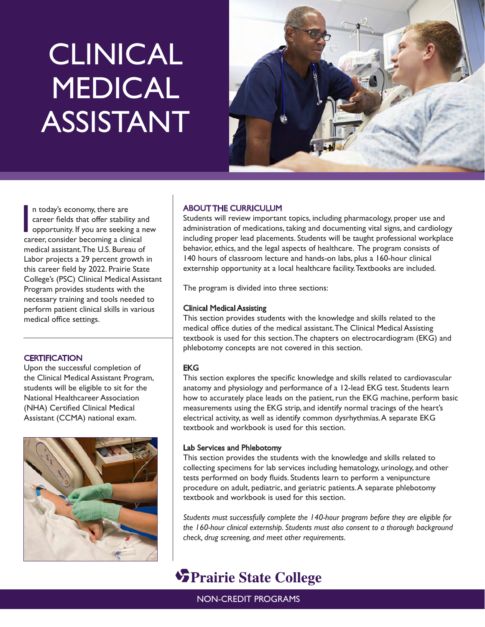# **CLINICAL** MEDICAL ASSISTANT



In today's economy, there are<br>career fields that offer stability an<br>opportunity. If you are seeking a r<br>career, consider becoming a clinical n today's economy, there are career fields that offer stability and opportunity. If you are seeking a new medical assistant. The U.S. Bureau of Labor projects a 29 percent growth in this career field by 2022. Prairie State College's (PSC) Clinical Medical Assistant Program provides students with the necessary training and tools needed to perform patient clinical skills in various medical office settings.

# **CERTIFICATION**

Upon the successful completion of the Clinical Medical Assistant Program, students will be eligible to sit for the National Healthcareer Association (NHA) Certified Clinical Medical Assistant (CCMA) national exam.



# ABOUT THE CURRICULUM

Students will review important topics, including pharmacology, proper use and administration of medications, taking and documenting vital signs, and cardiology including proper lead placements. Students will be taught professional workplace behavior, ethics, and the legal aspects of healthcare. The program consists of 140 hours of classroom lecture and hands-on labs, plus a 160-hour clinical externship opportunity at a local healthcare facility. Textbooks are included.

The program is divided into three sections:

## Clinical Medical Assisting

This section provides students with the knowledge and skills related to the medical office duties of the medical assistant. The Clinical Medical Assisting textbook is used for this section. The chapters on electrocardiogram (EKG) and phlebotomy concepts are not covered in this section.

# EKG

This section explores the specific knowledge and skills related to cardiovascular anatomy and physiology and performance of a 12-lead EKG test. Students learn how to accurately place leads on the patient, run the EKG machine, perform basic measurements using the EKG strip, and identify normal tracings of the heart's electrical activity, as well as identify common dysrhythmias. A separate EKG textbook and workbook is used for this section.

#### Lab Services and Phlebotomy

This section provides the students with the knowledge and skills related to collecting specimens for lab services including hematology, urinology, and other tests performed on body fluids. Students learn to perform a venipuncture procedure on adult, pediatric, and geriatric patients. A separate phlebotomy textbook and workbook is used for this section.

*Students must successfully complete the 140-hour program before they are eligible for the 160-hour clinical externship. Students must also consent to a thorough background check, drug screening, and meet other requirements.*